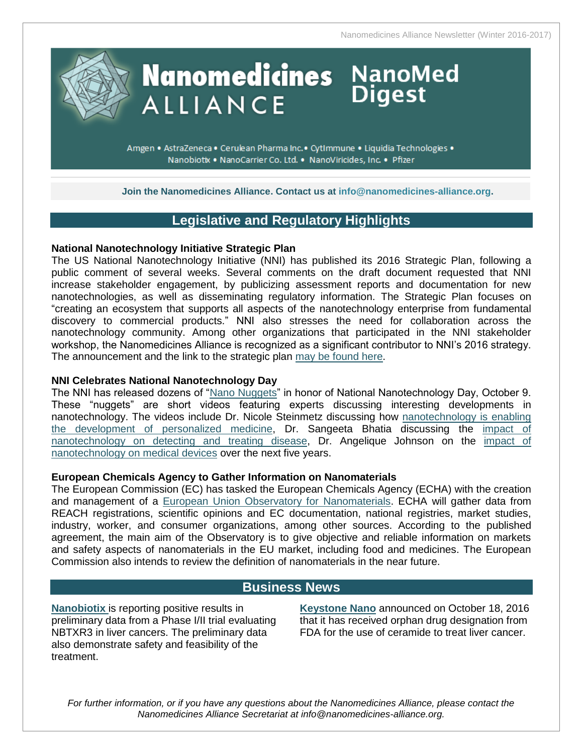Nanomedicines Alliance Newsletter (Winter 2016-2017)

**Digest** 

# **Nanomedicines NanoMed ALLIANCE**

Amgen • AstraZeneca • Cerulean Pharma Inc. • CytImmune • Liquidia Technologies • Nanobiotix . NanoCarrier Co. Ltd. . NanoViricides, Inc. . Pfizer

**Join the Nanomedicines Alliance. Contact us at [info@nanomedicines-alliance.org.](mailto:info@nanomedicines-alliance.org)**

# **Legislative and Regulatory Highlights**

## **National Nanotechnology Initiative Strategic Plan**

The US National Nanotechnology Initiative (NNI) has published its 2016 Strategic Plan, following a public comment of several weeks. Several comments on the draft document requested that NNI increase stakeholder engagement, by publicizing assessment reports and documentation for new nanotechnologies, as well as disseminating regulatory information. The Strategic Plan focuses on "creating an ecosystem that supports all aspects of the nanotechnology enterprise from fundamental discovery to commercial products." NNI also stresses the need for collaboration across the nanotechnology community. Among other organizations that participated in the NNI stakeholder workshop, the Nanomedicines Alliance is recognized as a significant contributor to NNI's 2016 strategy. The announcement and the link to the strategic plan [may be found here.](http://www.nano.gov/node/1676)

### **NNI Celebrates National Nanotechnology Day**

The NNI has released dozens of ["Nano Nuggets"](http://www.nano.gov/node/41) in honor of National Nanotechnology Day, October 9. These "nuggets" are short videos featuring experts discussing interesting developments in nanotechnology. The videos include Dr. Nicole Steinmetz discussing how [nanotechnology is enabling](http://www.nano.gov/node/1694)  [the development of personalized medicine,](http://www.nano.gov/node/1694) Dr. Sangeeta Bhatia discussing the [impact of](http://www.nano.gov/node/1683)  [nanotechnology on detecting and treating disease,](http://www.nano.gov/node/1683) Dr. Angelique Johnson on the impact of [nanotechnology on medical devices](http://www.nano.gov/node/1713#sthash.yG7ySsrG.uxfs) over the next five years.

## **European Chemicals Agency to Gather Information on Nanomaterials**

The European Commission (EC) has tasked the European Chemicals Agency (ECHA) with the creation and management of a [European Union Observatory for Nanomaterials.](http://ec.europa.eu/DocsRoom/documents/20432/) ECHA will gather data from REACH registrations, scientific opinions and EC documentation, national registries, market studies, industry, worker, and consumer organizations, among other sources. According to the published agreement, the main aim of the Observatory is to give objective and reliable information on markets and safety aspects of nanomaterials in the EU market, including food and medicines. The European Commission also intends to review the definition of nanomaterials in the near future.

# **Business News**

**[Nanobiotix](http://www.businesswire.com/news/home/20161214006006/en/Nanobiotix-Reports-Positive-Phase-III-Preliminary-Data)** is reporting positive results in preliminary data from a Phase I/II trial evaluating NBTXR3 in liver cancers. The preliminary data also demonstrate safety and feasibility of the treatment.

**[Keystone Nano](http://www.prnewswire.com/news-releases/keystone-nano-announces-the-us-fda-has-awarded-orphan-drug-designation-for-ceramides-for-the-treatment-of-liver-cancer-300346841.html)** announced on October 18, 2016 that it has received orphan drug designation from FDA for the use of ceramide to treat liver cancer.

*For further information, or if you have any questions about the Nanomedicines Alliance, please contact the Nanomedicines Alliance Secretariat at info@nanomedicines-alliance.org.*